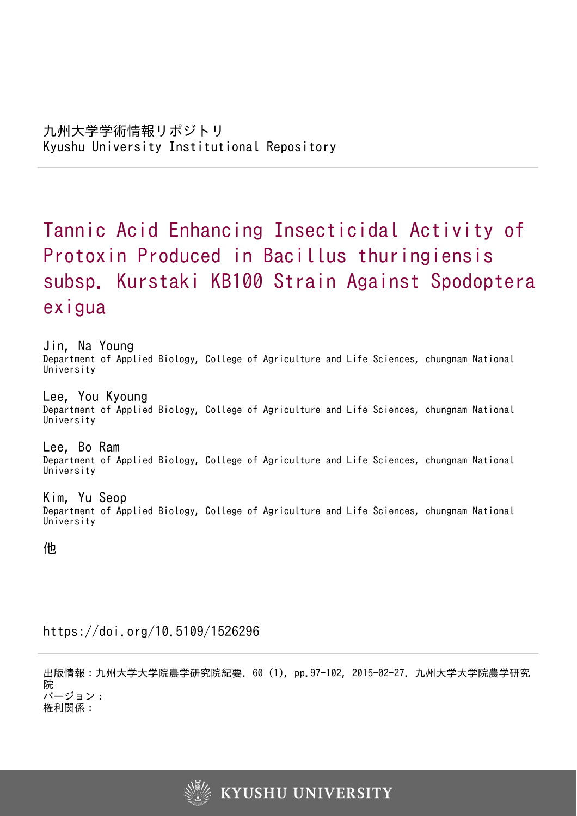# Tannic Acid Enhancing Insecticidal Activity of Protoxin Produced in Bacillus thuringiensis subsp. Kurstaki KB100 Strain Against Spodoptera exigua

Jin, Na Young Department of Applied Biology, College of Agriculture and Life Sciences, chungnam National University

Lee, You Kyoung Department of Applied Biology, College of Agriculture and Life Sciences, chungnam National University

Lee, Bo Ram Department of Applied Biology, College of Agriculture and Life Sciences, chungnam National University

Kim, Yu Seop Department of Applied Biology, College of Agriculture and Life Sciences, chungnam National **University** 

他

https://doi.org/10.5109/1526296

出版情報:九州大学大学院農学研究院紀要. 60 (1), pp.97-102, 2015-02-27. 九州大学大学院農学研究 院 バージョン: 権利関係:

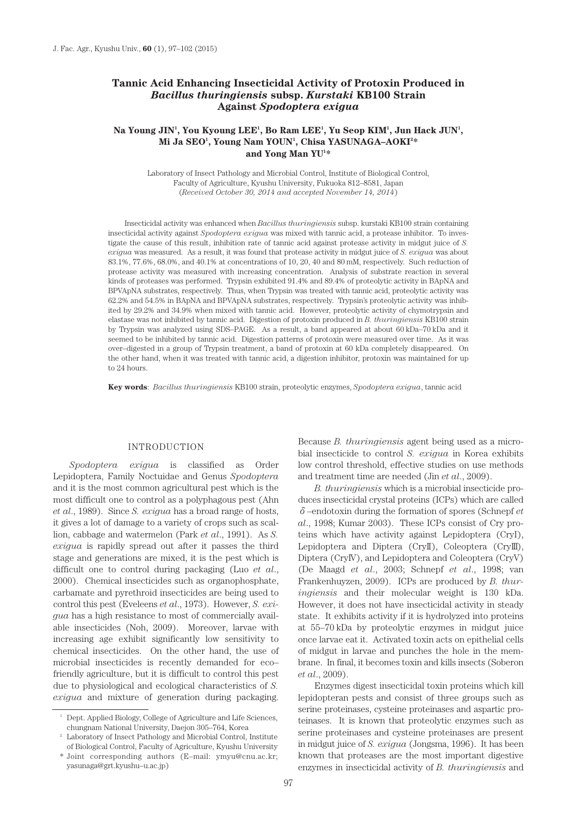# **Tannic Acid Enhancing Insecticidal Activity of Protoxin Produced in**  *Bacillus thuringiensis* **subsp.** *Kurstaki* **KB100 Strain Against** *Spodoptera exigua*

# Na Young JIN<sup>1</sup>, You Kyoung LEE<sup>1</sup>, Bo Ram LEE<sup>1</sup>, Yu Seop KIM<sup>1</sup>, Jun Hack JUN<sup>1</sup>, **Mi Ja SEO1 , Young Nam YOUN1 , Chisa YASUNAGA–AOKI2 \* and Yong Man YU1 \***

Laboratory of Insect Pathology and Microbial Control, Institute of Biological Control, Faculty of Agriculture, Kyushu University, Fukuoka 812–8581, Japan (*Received October 30, 2014 and accepted November 14, 2014*)

Insecticidal activity was enhanced when *Bacillus thuringiensis* subsp. kurstaki KB100 strain containing insecticidal activity against *Spodoptera exigua* was mixed with tannic acid, a protease inhibitor. To investigate the cause of this result, inhibition rate of tannic acid against protease activity in midgut juice of *S. exigua* was measured. As a result, it was found that protease activity in midgut juice of *S. exigua* was about 83.1%, 77.6%, 68.0%, and 40.1% at concentrations of 10, 20, 40 and 80 mM, respectively. Such reduction of protease activity was measured with increasing concentration. Analysis of substrate reaction in several kinds of proteases was performed. Trypsin exhibited 91.4% and 89.4% of proteolytic activity in BApNA and BPVApNA substrates, respectively. Thus, when Trypsin was treated with tannic acid, proteolytic activity was 62.2% and 54.5% in BApNA and BPVApNA substrates, respectively. Trypsin's proteolytic activity was inhibited by 29.2% and 34.9% when mixed with tannic acid. However, proteolytic activity of chymotrypsin and elastase was not inhibited by tannic acid. Digestion of protoxin produced in *B. thuringiensis* KB100 strain by Trypsin was analyzed using SDS–PAGE. As a result, a band appeared at about 60 kDa–70 kDa and it seemed to be inhibited by tannic acid. Digestion patterns of protoxin were measured over time. As it was over–digested in a group of Trypsin treatment, a band of protoxin at 60 kDa completely disappeared. On the other hand, when it was treated with tannic acid, a digestion inhibitor, protoxin was maintained for up to 24 hours.

**Key words**: *Bacillus thuringiensis* KB100 strain, proteolytic enzymes, *Spodoptera exigua*, tannic acid

#### INTRODUCTION

*Spodoptera exigua* is classified as Order Lepidoptera, Family Noctuidae and Genus *Spodoptera* and it is the most common agricultural pest which is the most difficult one to control as a polyphagous pest (Ahn *et al*., 1989). Since *S. exigua* has a broad range of hosts, it gives a lot of damage to a variety of crops such as scallion, cabbage and watermelon (Park *et al*., 1991). As *S. exigua* is rapidly spread out after it passes the third stage and generations are mixed, it is the pest which is difficult one to control during packaging (Luo *et al*., 2000). Chemical insecticides such as organophosphate, carbamate and pyrethroid insecticides are being used to control this pest (Eveleens *et al*., 1973). However, *S. exigua* has a high resistance to most of commercially available insecticides (Noh, 2009). Moreover, larvae with increasing age exhibit significantly low sensitivity to chemical insecticides. On the other hand, the use of microbial insecticides is recently demanded for eco– friendly agriculture, but it is difficult to control this pest due to physiological and ecological characteristics of *S. exigua* and mixture of generation during packaging.

Because *B. thuringiensis* agent being used as a microbial insecticide to control *S. exigua* in Korea exhibits low control threshold, effective studies on use methods and treatment time are needed (Jin *et al*., 2009).

*B. thuringiensis* which is a microbial insecticide produces insecticidal crystal proteins (ICPs) which are called δ–endotoxin during the formation of spores (Schnepf *et al*., 1998; Kumar 2003). These ICPs consist of Cry proteins which have activity against Lepidoptera (CryI), Lepidoptera and Diptera (CryII), Coleoptera (CryIII), Diptera (CryIV), and Lepidoptera and Coleoptera (CryV) (De Maagd *et al*., 2003; Schnepf *et al*., 1998; van Frankenhuyzen, 2009). ICPs are produced by *B. thuringiensis* and their molecular weight is 130 kDa. However, it does not have insecticidal activity in steady state. It exhibits activity if it is hydrolyzed into proteins at 55–70 kDa by proteolytic enzymes in midgut juice once larvae eat it. Activated toxin acts on epithelial cells of midgut in larvae and punches the hole in the membrane. In final, it becomes toxin and kills insects (Soberon *et al*., 2009).

Enzymes digest insecticidal toxin proteins which kill lepidopteran pests and consist of three groups such as serine proteinases, cysteine proteinases and aspartic proteinases. It is known that proteolytic enzymes such as serine proteinases and cysteine proteinases are present in midgut juice of *S. exigua* (Jongsma, 1996). It has been known that proteases are the most important digestive enzymes in insecticidal activity of *B. thuringiensis* and

<sup>1</sup> Dept. Applied Biology, College of Agriculture and Life Sciences,

chungnam National University, Daejon 305–764, Korea 2 Laboratory of Insect Pathology and Microbial Control, Institute of Biological Control, Faculty of Agriculture, Kyushu University

<sup>\*</sup> Joint corresponding authors (E–mail: ymyu@cnu.ac.kr; yasunaga@grt.kyushu–u.ac.jp)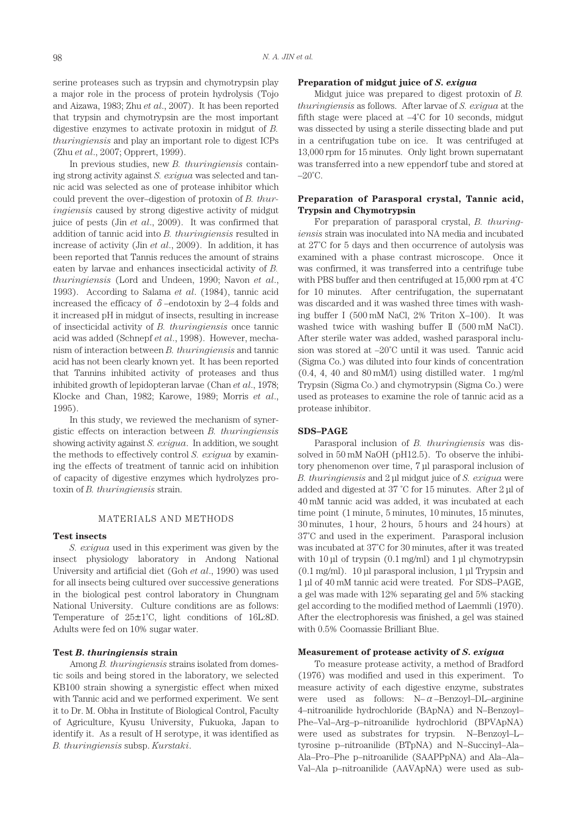serine proteases such as trypsin and chymotrypsin play a major role in the process of protein hydrolysis (Tojo and Aizawa, 1983; Zhu *et al*., 2007). It has been reported that trypsin and chymotrypsin are the most important digestive enzymes to activate protoxin in midgut of *B. thuringiensis* and play an important role to digest ICPs (Zhu *et al*., 2007; Opprert, 1999).

In previous studies, new *B. thuringiensis* containing strong activity against *S. exigua* was selected and tannic acid was selected as one of protease inhibitor which could prevent the over–digestion of protoxin of *B. thuringiensis* caused by strong digestive activity of midgut juice of pests (Jin *et al*., 2009). It was confirmed that addition of tannic acid into *B. thuringiensis* resulted in increase of activity (Jin *et al*., 2009). In addition, it has been reported that Tannis reduces the amount of strains eaten by larvae and enhances insecticidal activity of *B. thuringiensis* (Lord and Undeen, 1990; Navon *et al*., 1993). According to Salama *et al*. (1984), tannic acid increased the efficacy of  $\delta$ -endotoxin by 2–4 folds and it increased pH in midgut of insects, resulting in increase of insecticidal activity of *B. thuringiensis* once tannic acid was added (Schnepf *et al*., 1998). However, mechanism of interaction between *B. thuringiensis* and tannic acid has not been clearly known yet. It has been reported that Tannins inhibited activity of proteases and thus inhibited growth of lepidopteran larvae (Chan *et al*., 1978; Klocke and Chan, 1982; Karowe, 1989; Morris *et al*., 1995).

In this study, we reviewed the mechanism of synergistic effects on interaction between *B. thuringiensis* showing activity against *S. exigua*. In addition, we sought the methods to effectively control *S. exigua* by examining the effects of treatment of tannic acid on inhibition of capacity of digestive enzymes which hydrolyzes protoxin of *B. thuringiensis* strain.

#### MATERIALS AND METHODS

#### **Test insects**

*S. exigua* used in this experiment was given by the insect physiology laboratory in Andong National University and artificial diet (Goh *et al*., 1990) was used for all insects being cultured over successive generations in the biological pest control laboratory in Chungnam National University. Culture conditions are as follows: Temperature of  $25\pm1^{\circ}$ C, light conditions of 16L:8D. Adults were fed on 10% sugar water.

## **Test** *B. thuringiensis* **strain**

Among *B. thuringiensis* strains isolated from domestic soils and being stored in the laboratory, we selected KB100 strain showing a synergistic effect when mixed with Tannic acid and we performed experiment. We sent it to Dr. M. Obha in Institute of Biological Control, Faculty of Agriculture, Kyusu University, Fukuoka, Japan to identify it. As a result of H serotype, it was identified as *B. thuringiensis* subsp. *Kurstaki*.

## **Preparation of midgut juice of** *S. exigua*

Midgut juice was prepared to digest protoxin of *B. thuringiensis* as follows. After larvae of *S. exigua* at the fifth stage were placed at  $-4^{\circ}$ C for 10 seconds, midgut was dissected by using a sterile dissecting blade and put in a centrifugation tube on ice. It was centrifuged at 13,000 rpm for 15 minutes. Only light brown supernatant was transferred into a new eppendorf tube and stored at  $-20^{\circ}$ C.

## **Preparation of Parasporal crystal, Tannic acid, Trypsin and Chymotrypsin**

For preparation of parasporal crystal, *B. thuringiensis* strain was inoculated into NA media and incubated at 27˚C for 5 days and then occurrence of autolysis was examined with a phase contrast microscope. Once it was confirmed, it was transferred into a centrifuge tube with PBS buffer and then centrifuged at 15,000 rpm at 4˚C for 10 minutes. After centrifugation, the supernatant was discarded and it was washed three times with washing buffer I (500 mM NaCl, 2% Triton X–100). It was washed twice with washing buffer II (500 mM NaCl). After sterile water was added, washed parasporal inclusion was stored at –20˚C until it was used. Tannic acid (Sigma Co.) was diluted into four kinds of concentration (0.4, 4, 40 and 80 mM/l) using distilled water. 1 mg/ml Trypsin (Sigma Co.) and chymotrypsin (Sigma Co.) were used as proteases to examine the role of tannic acid as a protease inhibitor.

## **SDS–PAGE**

Parasporal inclusion of *B. thuringiensis* was dissolved in 50 mM NaOH (pH12.5). To observe the inhibitory phenomenon over time, 7 μl parasporal inclusion of *B. thuringiensis* and 2 μl midgut juice of *S. exigua* were added and digested at 37 ˚C for 15 minutes. After 2 μl of 40 mM tannic acid was added, it was incubated at each time point (1 minute, 5 minutes, 10 minutes, 15 minutes, 30 minutes, 1 hour, 2 hours, 5 hours and 24 hours) at 37˚C and used in the experiment. Parasporal inclusion was incubated at 37˚C for 30 minutes, after it was treated with 10 μl of trypsin (0.1 mg/ml) and 1 μl chymotrypsin (0.1 mg/ml). 10 μl parasporal inclusion, 1 μl Trypsin and 1 μl of 40 mM tannic acid were treated. For SDS–PAGE, a gel was made with 12% separating gel and 5% stacking gel according to the modified method of Laemmli (1970). After the electrophoresis was finished, a gel was stained with 0.5% Coomassie Brilliant Blue.

## **Measurement of protease activity of** *S. exigua*

To measure protease activity, a method of Bradford (1976) was modified and used in this experiment. To measure activity of each digestive enzyme, substrates were used as follows:  $N-\alpha$ –Benzoyl–DL–arginine 4–nitroanilide hydrochloride (BApNA) and N–Benzoyl– Phe–Val–Arg–p–nitroanilide hydrochlorid (BPVApNA) were used as substrates for trypsin. N–Benzoyl–L– tyrosine p–nitroanilide (BTpNA) and N–Succinyl–Ala– Ala–Pro–Phe p–nitroanilide (SAAPPpNA) and Ala–Ala– Val–Ala p–nitroanilide (AAVApNA) were used as sub-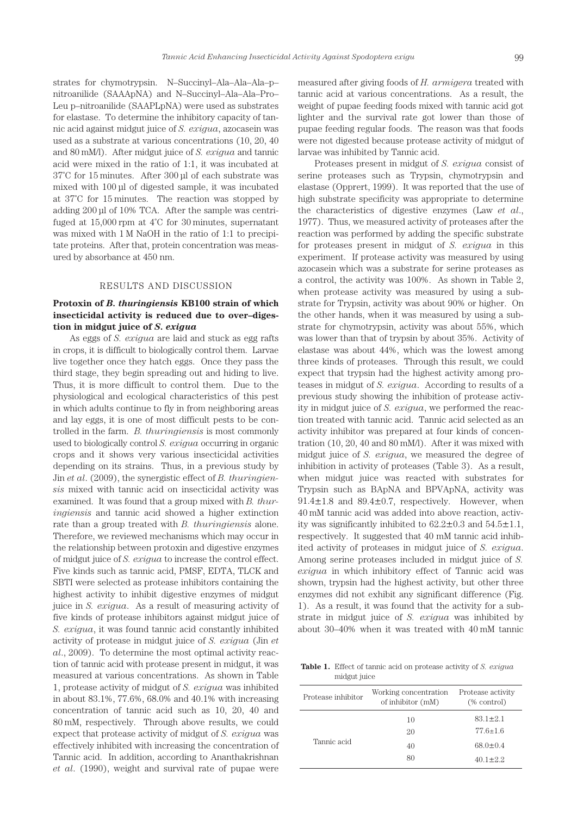strates for chymotrypsin. N–Succinyl–Ala–Ala–Ala–p– nitroanilide (SAAApNA) and N–Succinyl–Ala–Ala–Pro– Leu p–nitroanilide (SAAPLpNA) were used as substrates for elastase. To determine the inhibitory capacity of tannic acid against midgut juice of *S. exigua*, azocasein was used as a substrate at various concentrations (10, 20, 40 and 80 mM/l). After midgut juice of *S. exigua* and tannic acid were mixed in the ratio of 1:1, it was incubated at 37˚C for 15 minutes. After 300 μl of each substrate was mixed with 100 μl of digested sample, it was incubated at 37˚C for 15 minutes. The reaction was stopped by adding 200 μl of 10% TCA. After the sample was centrifuged at 15,000 rpm at 4˚C for 30 minutes, supernatant was mixed with 1 M NaOH in the ratio of 1:1 to precipitate proteins. After that, protein concentration was measured by absorbance at 450 nm.

#### RESULTS AND DISCUSSION

# **Protoxin of** *B. thuringiensis* **KB100 strain of which insecticidal activity is reduced due to over–digestion in midgut juice of** *S. exigua*

As eggs of *S. exigua* are laid and stuck as egg rafts in crops, it is difficult to biologically control them. Larvae live together once they hatch eggs. Once they pass the third stage, they begin spreading out and hiding to live. Thus, it is more difficult to control them. Due to the physiological and ecological characteristics of this pest in which adults continue to fly in from neighboring areas and lay eggs, it is one of most difficult pests to be controlled in the farm. *B. thuringiensis* is most commonly used to biologically control *S. exigua* occurring in organic crops and it shows very various insecticidal activities depending on its strains. Thus, in a previous study by Jin *et al*. (2009), the synergistic effect of *B. thuringiensis* mixed with tannic acid on insecticidal activity was examined. It was found that a group mixed with *B. thuringiensis* and tannic acid showed a higher extinction rate than a group treated with *B. thuringiensis* alone. Therefore, we reviewed mechanisms which may occur in the relationship between protoxin and digestive enzymes of midgut juice of *S. exigua* to increase the control effect. Five kinds such as tannic acid, PMSF, EDTA, TLCK and SBTI were selected as protease inhibitors containing the highest activity to inhibit digestive enzymes of midgut juice in *S. exigua*. As a result of measuring activity of five kinds of protease inhibitors against midgut juice of *S. exigua*, it was found tannic acid constantly inhibited activity of protease in midgut juice of *S. exigua* (Jin *et al*., 2009). To determine the most optimal activity reaction of tannic acid with protease present in midgut, it was measured at various concentrations. As shown in Table 1, protease activity of midgut of *S. exigua* was inhibited in about 83.1%, 77.6%, 68.0% and 40.1% with increasing concentration of tannic acid such as 10, 20, 40 and 80 mM, respectively. Through above results, we could expect that protease activity of midgut of *S. exigua* was effectively inhibited with increasing the concentration of Tannic acid. In addition, according to Ananthakrishnan *et al*. (1990), weight and survival rate of pupae were

measured after giving foods of *H. armigera* treated with tannic acid at various concentrations. As a result, the weight of pupae feeding foods mixed with tannic acid got lighter and the survival rate got lower than those of pupae feeding regular foods. The reason was that foods were not digested because protease activity of midgut of larvae was inhibited by Tannic acid.

Proteases present in midgut of *S. exigua* consist of serine proteases such as Trypsin, chymotrypsin and elastase (Opprert, 1999). It was reported that the use of high substrate specificity was appropriate to determine the characteristics of digestive enzymes (Law *et al*., 1977). Thus, we measured activity of proteases after the reaction was performed by adding the specific substrate for proteases present in midgut of *S. exigua* in this experiment. If protease activity was measured by using azocasein which was a substrate for serine proteases as a control, the activity was 100%. As shown in Table 2, when protease activity was measured by using a substrate for Trypsin, activity was about 90% or higher. On the other hands, when it was measured by using a substrate for chymotrypsin, activity was about 55%, which was lower than that of trypsin by about 35%. Activity of elastase was about 44%, which was the lowest among three kinds of proteases. Through this result, we could expect that trypsin had the highest activity among proteases in midgut of *S. exigua*. According to results of a previous study showing the inhibition of protease activity in midgut juice of *S. exigua*, we performed the reaction treated with tannic acid. Tannic acid selected as an activity inhibitor was prepared at four kinds of concentration (10, 20, 40 and 80 mM/l). After it was mixed with midgut juice of *S. exigua*, we measured the degree of inhibition in activity of proteases (Table 3). As a result, when midgut juice was reacted with substrates for Trypsin such as BApNA and BPVApNA, activity was 91.4±1.8 and 89.4±0.7, respectively. However, when 40 mM tannic acid was added into above reaction, activity was significantly inhibited to  $62.2 \pm 0.3$  and  $54.5 \pm 1.1$ , respectively. It suggested that 40 mM tannic acid inhibited activity of proteases in midgut juice of *S. exigua*. Among serine proteases included in midgut juice of *S. exigua* in which inhibitory effect of Tannic acid was shown, trypsin had the highest activity, but other three enzymes did not exhibit any significant difference (Fig. 1). As a result, it was found that the activity for a substrate in midgut juice of *S. exigua* was inhibited by about 30–40% when it was treated with 40 mM tannic

**Table 1.** Effect of tannic acid on protease activity of *S. exigua*  midgut juice

| Protease inhibitor | Working concentration<br>of inhibitor (mM) | Protease activity<br>$(\%$ control) |  |  |
|--------------------|--------------------------------------------|-------------------------------------|--|--|
| Tannic acid        | 10<br>20                                   | $83.1 \pm 2.1$<br>$77.6 \pm 1.6$    |  |  |
|                    | 40<br>80                                   | $68.0 \pm 0.4$<br>$40.1 \pm 2.2$    |  |  |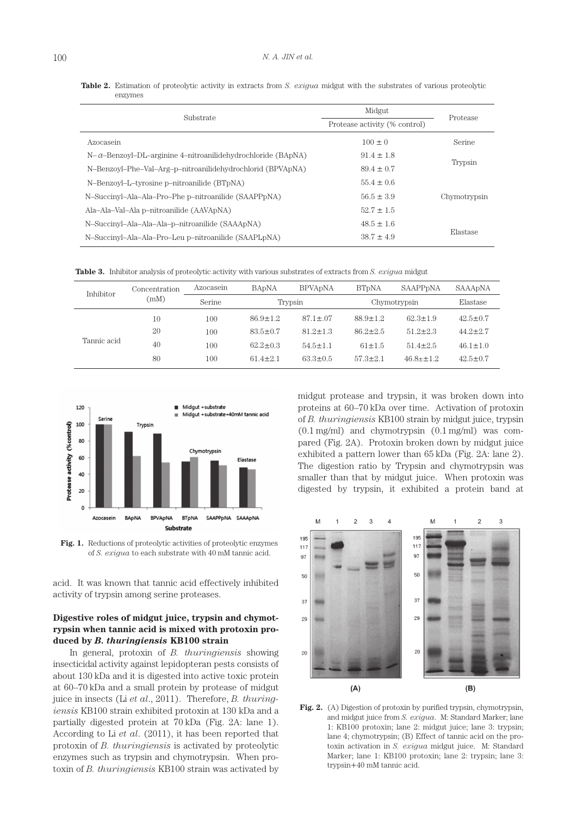| Substrate                                                           | Midgut                        | Protease     |  |
|---------------------------------------------------------------------|-------------------------------|--------------|--|
|                                                                     | Protease activity (% control) |              |  |
| Azocasein                                                           | $100 \pm 0$                   | Serine       |  |
| $N-\alpha$ -Benzoyl-DL-arginine 4-nitroanilidehydrochloride (BApNA) | $91.4 \pm 1.8$                |              |  |
| N-Benzoyl-Phe-Val-Arg-p-nitroanilidehydrochlorid (BPVApNA)          | $89.4 \pm 0.7$                | Trypsin      |  |
| N-Benzoyl-L-tyrosine p-nitroanilide (BTpNA)                         | $55.4 \pm 0.6$                |              |  |
| N-Succinyl-Ala-Ala-Pro-Phe p-nitroanilide (SAAPPpNA)                | $56.5 \pm 3.9$                | Chymotrypsin |  |
| Ala-Ala-Val-Ala p-nitroanilide (AAVApNA)                            | $52.7 \pm 1.5$                |              |  |
| N-Succinyl-Ala-Ala-Ala-p-nitroanilide (SAAApNA)                     | $48.5 \pm 1.6$                |              |  |
| N-Succinyl-Ala-Ala-Pro-Leu p-nitroanilide (SAAPLpNA)                | $38.7 \pm 4.9$                | Elastase     |  |

**Table 2.** Estimation of proteolytic activity in extracts from *S. exigua* midgut with the substrates of various proteolytic enzymes

| <b>Table 3.</b> Inhibitor analysis of proteolytic activity with various substrates of extracts from S. exigua midgut |  |
|----------------------------------------------------------------------------------------------------------------------|--|
|----------------------------------------------------------------------------------------------------------------------|--|

| Inhibitor   | Concentration<br>(mM) | Azocasein | <b>BADNA</b>   | <b>BPVA<sub>D</sub>NA</b> | <b>BT<sub>DNA</sub></b> | SAAPP <sub>pNA</sub> | SAAApNA        |
|-------------|-----------------------|-----------|----------------|---------------------------|-------------------------|----------------------|----------------|
|             |                       | Serine    | Trypsin        |                           | Chymotrypsin            |                      | Elastase       |
| Tannic acid | 10                    | 100       | $86.9 + 1.2$   | $87.1 \pm .07$            | $88.9 \pm 1.2$          | $62.3 \pm 1.9$       | $42.5 \pm 0.7$ |
|             | 20                    | 100       | $83.5 \pm 0.7$ | $81.2 \pm 1.3$            | $86.2 \pm 2.5$          | $51.2 \pm 2.3$       | $44.2 \pm 2.7$ |
|             | 40                    | 100       | $62.2 \pm 0.3$ | $54.5 \pm 1.1$            | $61 \pm 1.5$            | $51.4 \pm 2.5$       | $46.1 \pm 1.0$ |
|             | 80                    | 100       | $614 + 21$     | $63.3 \pm 0.5$            | $57.3 \pm 2.1$          | $46.8 + \pm 1.2$     | $42.5 \pm 0.7$ |



**Fig. 1.** Reductions of proteolytic activities of proteolytic enzymes of *S. exigua* to each substrate with 40 mM tannic acid.

acid. It was known that tannic acid effectively inhibited activity of trypsin among serine proteases.

## **Digestive roles of midgut juice, trypsin and chymotrypsin when tannic acid is mixed with protoxin produced by** *B. thuringiensis* **KB100 strain**

In general, protoxin of *B. thuringiensis* showing insecticidal activity against lepidopteran pests consists of about 130 kDa and it is digested into active toxic protein at 60–70 kDa and a small protein by protease of midgut juice in insects (Li *et al*., 2011). Therefore, *B. thuringiensis* KB100 strain exhibited protoxin at 130 kDa and a partially digested protein at 70 kDa (Fig. 2A: lane 1). According to Li *et al*. (2011), it has been reported that protoxin of *B. thuringiensis* is activated by proteolytic enzymes such as trypsin and chymotrypsin. When protoxin of *B. thuringiensis* KB100 strain was activated by

midgut protease and trypsin, it was broken down into proteins at 60–70 kDa over time. Activation of protoxin of *B. thuringiensis* KB100 strain by midgut juice, trypsin (0.1 mg/ml) and chymotrypsin (0.1 mg/ml) was compared (Fig. 2A). Protoxin broken down by midgut juice exhibited a pattern lower than 65 kDa (Fig. 2A: lane 2). The digestion ratio by Trypsin and chymotrypsin was smaller than that by midgut juice. When protoxin was digested by trypsin, it exhibited a protein band at



**Fig. 2.** (A) Digestion of protoxin by purified trypsin, chymotrypsin, and midgut juice from *S. exigua*. M: Standard Marker; lane 1: KB100 protoxin; lane 2: midgut juice; lane 3: trypsin; lane 4; chymotrypsin; (B) Effect of tannic acid on the protoxin activation in *S. exigua* midgut juice. M: Standard Marker; lane 1: KB100 protoxin; lane 2: trypsin; lane 3: trypsin+40 mM tannic acid.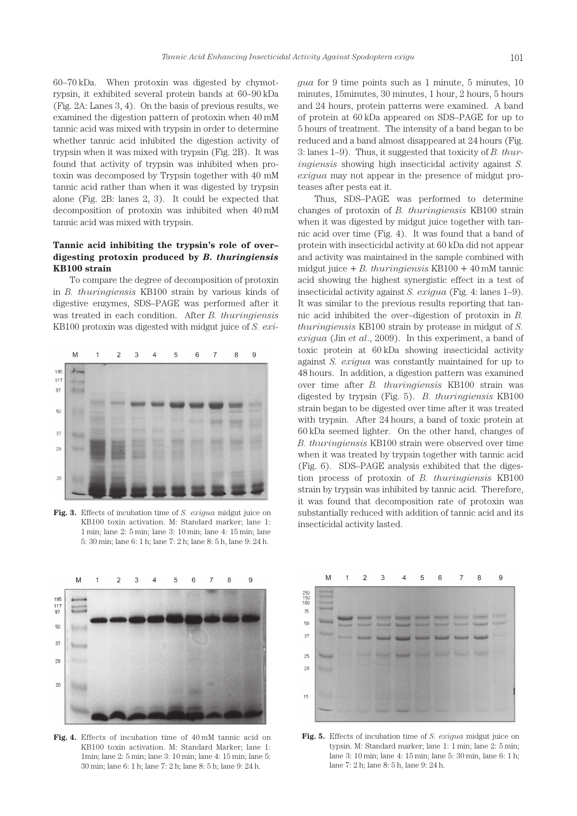60–70 kDa. When protoxin was digested by chymotrypsin, it exhibited several protein bands at 60–90 kDa (Fig. 2A: Lanes 3, 4). On the basis of previous results, we examined the digestion pattern of protoxin when 40 mM tannic acid was mixed with trypsin in order to determine whether tannic acid inhibited the digestion activity of trypsin when it was mixed with trypsin (Fig. 2B). It was found that activity of trypsin was inhibited when protoxin was decomposed by Trypsin together with 40 mM tannic acid rather than when it was digested by trypsin alone (Fig. 2B: lanes 2, 3). It could be expected that decomposition of protoxin was inhibited when 40 mM tannic acid was mixed with trypsin.

# **Tannic acid inhibiting the trypsin's role of over– digesting protoxin produced by** *B. thuringiensis*  **KB100 strain**

To compare the degree of decomposition of protoxin in *B. thuringiensis* KB100 strain by various kinds of digestive enzymes, SDS–PAGE was performed after it was treated in each condition. After *B. thuringiensis* KB100 protoxin was digested with midgut juice of *S. exi-*



**Fig. 3.** Effects of incubation time of *S. exigua* midgut juice on KB100 toxin activation. M: Standard marker; lane 1: 1 min; lane 2: 5 min; lane 3: 10 min; lane 4: 15 min; lane 5: 30 min; lane 6: 1 h; lane 7: 2 h; lane 8: 5 h, lane 9: 24 h.

*gua* for 9 time points such as 1 minute, 5 minutes, 10 minutes, 15minutes, 30 minutes, 1 hour, 2 hours, 5 hours and 24 hours, protein patterns were examined. A band of protein at 60 kDa appeared on SDS–PAGE for up to 5 hours of treatment. The intensity of a band began to be reduced and a band almost disappeared at 24 hours (Fig. 3: lanes 1–9). Thus, it suggested that toxicity of *B. thuringiensis* showing high insecticidal activity against *S. exigua* may not appear in the presence of midgut proteases after pests eat it.

Thus, SDS–PAGE was performed to determine changes of protoxin of *B. thuringiensis* KB100 strain when it was digested by midgut juice together with tannic acid over time (Fig. 4). It was found that a band of protein with insecticidal activity at 60 kDa did not appear and activity was maintained in the sample combined with midgut juice + *B. thuringiensis* KB100 + 40 mM tannic acid showing the highest synergistic effect in a test of insecticidal activity against *S. exigua* (Fig. 4: lanes 1–9). It was similar to the previous results reporting that tannic acid inhibited the over–digestion of protoxin in *B. thuringiensis* KB100 strain by protease in midgut of *S. exigua* (Jin *et al*., 2009). In this experiment, a band of toxic protein at 60 kDa showing insecticidal activity against *S. exigua* was constantly maintained for up to 48 hours. In addition, a digestion pattern was examined over time after *B. thuringiensis* KB100 strain was digested by trypsin (Fig. 5). *B. thuringiensis* KB100 strain began to be digested over time after it was treated with trypsin. After 24 hours, a band of toxic protein at 60 kDa seemed lighter. On the other hand, changes of *B. thuringiensis* KB100 strain were observed over time when it was treated by trypsin together with tannic acid (Fig. 6). SDS–PAGE analysis exhibited that the digestion process of protoxin of *B. thuringiensis* KB100 strain by trypsin was inhibited by tannic acid. Therefore, it was found that decomposition rate of protoxin was substantially reduced with addition of tannic acid and its insecticidal activity lasted.



**Fig. 4.** Effects of incubation time of 40 mM tannic acid on KB100 toxin activation. M: Standard Marker; lane 1: 1min; lane 2: 5 min; lane 3: 10 min; lane 4: 15 min; lane 5: 30 min; lane 6: 1 h; lane 7: 2 h; lane 8: 5 h; lane 9: 24 h.



**Fig. 5.** Effects of incubation time of *S. exigua* midgut juice on typsin. M: Standard marker; lane 1: 1 min; lane 2: 5 min; lane 3: 10 min; lane 4: 15 min; lane 5: 30 min, lane 6: 1 h; lane 7: 2 h; lane 8: 5 h, lane 9: 24 h.